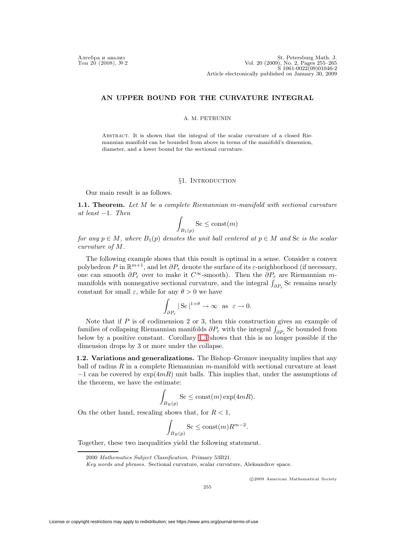Aлгебра и анализ St. Petersburg Math. J.<br>
Tom 20 (2008), N° 2<br>
S 1061-0022(09)01046-2 Article electronically published on January 30, 2009

## **AN UPPER BOUND FOR THE CURVATURE INTEGRAL**

## A. M. PETRUNIN

Abstract. It is shown that the integral of the scalar curvature of a closed Riemannian manifold can be bounded from above in terms of the manifold's dimension, diameter, and a lower bound for the sectional curvature.

# §1. INTRODUCTION

Our main result is as follows.

<span id="page-0-1"></span>**1.1. Theorem.** Let M be a complete Riemannian m-manifold with sectional curvature at least  $-1$ . Then

$$
\int_{B_1(p)} \text{Sc} \le \text{const}(m)
$$

for any  $p \in M$ , where  $B_1(p)$  denotes the unit ball centered at  $p \in M$  and Sc is the scalar curvature of M.

The following example shows that this result is optimal in a sense. Consider a convex The following example shows that this result is optimal in a sense. Consider a convex polyhedron P in  $\mathbb{R}^{m+1}$ , and let  $\partial P_{\varepsilon}$  denote the surface of its  $\varepsilon$ -neighborhood (if necessary, one can smooth  $\partial P_{\varepsilon}$  over to make it  $C^{\infty}$ -smooth). Then the  $\partial P_{\varepsilon}$  are Riemannian mcurvature of M.<br>
The following example shows that this result is optimal in a sense polyhedron P in  $\mathbb{R}^{m+1}$ , and let  $\partial P_{\varepsilon}$  denote the surface of its  $\varepsilon$ -neigh one can smooth  $\partial P_{\varepsilon}$  over to make it  $C^{\in$  $\int_{\partial P_{\varepsilon}}$  Sc remains nearly constant for small  $\varepsilon$ , while for any  $\theta > 0$  we have

$$
\int_{\partial P_{\varepsilon}} |\operatorname{Sc}|^{1+\theta} \to \infty \quad \text{as} \quad \varepsilon \to 0.
$$

Note that if  $P$  is of codimension 2 or 3, then this construction gives an example of for constant for small  $\varepsilon$ , while for any  $\theta > 0$  we have<br>  $\int_{\partial P_{\varepsilon}} |Sc|^{1+\theta} \to \infty$  as  $\varepsilon \to 0$ .<br>
Note that if P is of codimension 2 or 3, then this construction<br>
families of collapsing Riemannian manifolds  $\partial P_{\v$  $\int_{\partial P_{\varepsilon}}$  Sc bounded from below by a positive constant. Corollary [1.3](#page-0-0) shows that this is no longer possible if the dimension drops by 3 or more under the collapse.

**1.2. Variations and generalizations.** The Bishop–Gromov inequality implies that any ball of radius R in a complete Riemannian m-manifold with sectional curvature at least  $-1$  can be covered by  $\exp(4mR)$  unit balls. This implies that, under the assumptions of the theorem, we have the estimate:

$$
\int_{B_R(p)} \mathrm{Sc} \le \mathrm{const}(m) \exp(4mR).
$$

On the other hand, rescaling shows that, for  $R < 1$ ,

$$
\int_{B_R(p)} \text{Sc} \le \text{const}(m) R^{m-2}.
$$

<span id="page-0-0"></span>Together, these two inequalities yield the following statement.

2000 Mathematics Subject Classification. Primary 53B21.

c 2009 American Mathematical Society

Key words and phrases. Sectional curvature, scalar curvature, Aleksandrov space.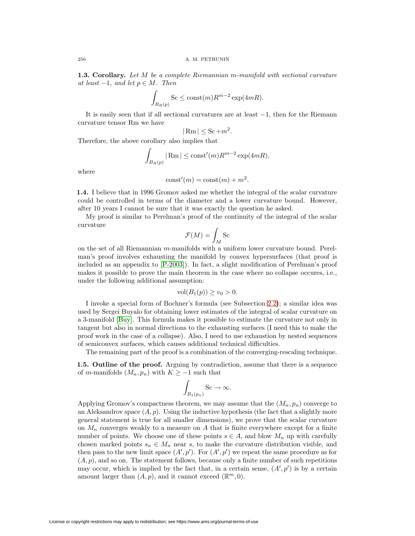**1.3. Corollary.** Let M be a complete Riemannian m-manifold with sectional curvature at least  $-1$ , and let  $p \in M$ . Then

$$
\int_{B_R(p)} \operatorname{Sc} \le \operatorname{const}(m) R^{m-2} \exp(4mR).
$$

It is easily seen that if all sectional curvatures are at least −1, then for the Riemann curvature tensor Rm we have

$$
|\operatorname{Rm}| \le \operatorname{Sc} + m^2.
$$

Therefore, the above corollary also implies that

$$
\int_{B_R(p)} |\operatorname{Rm}| \leq \operatorname{const}'(m) R^{m-2} \exp(4mR),
$$

where

$$
const'(m) = const(m) + m^2.
$$

**1.4.** I believe that in 1996 Gromov asked me whether the integral of the scalar curvature could be controlled in terms of the diameter and a lower curvature bound. However, after 10 years I cannot be sure that it was exactly the question he asked. sked me wl<br>diameter<br>it was exadenced<br>proof of t<br> $\mathcal{F}(M) = \int$ 

My proof is similar to Perelman's proof of the continuity of the integral of the scalar curvature

$$
\mathcal{F}(M) = \int_M \mathrm{Sc}
$$

on the set of all Riemannian m-manifolds with a uniform lower curvature bound. Perelman's proof involves exhausting the manifold by convex hypersurfaces (that proof is included as an appendix to [\[P-2003\]](#page-10-0)). In fact, a slight modification of Perelman's proof makes it possible to prove the main theorem in the case where no collapse occures, i.e., under the following additional assumption:

$$
vol(B_1(p)) \ge v_0 > 0.
$$

I invoke a special form of Bochner's formula (see Subsection [2.2\)](#page-2-0); a similar idea was used by Sergei Buyalo for obtaining lower estimates of the integral of scalar curvature on a 3-manifold [\[Buy\]](#page-10-1). This formula makes it possible to estimate the curvature not only in tangent but also in normal directions to the exhausting surfaces (I need this to make the proof work in the case of a collapse). Also, I need to use exhaustion by nested sequences of semiconvex surfaces, which causes additional technical difficulties.

The remaining part of the proof is a combination of the converging-rescaling technique.

**1.5. Outline of the proof.** Arguing by contradiction, assume that there is a sequence of m-manifolds  $(M_n, p_n)$  with  $K \ge -1$  such that

$$
\int_{B_1(p_n)} \mathbf{S} \mathbf{c} \to \infty.
$$

Applying Gromov's compactness theorem, we may assume that the  $(M_n, p_n)$  converge to an Aleksandrov space  $(A, p)$ . Using the inductive hypothesis (the fact that a slightly more general statement is true for all smaller dimensions), we prove that the scalar curvature on  $M_n$  converges weakly to a measure on A that is finite everywhere except for a finite number of points. We choose one of these points  $s \in A$ , and blow  $M_n$  up with carefully chosen marked points  $s_n \in M_n$  near s, to make the curvature distribution visible, and then pass to the new limit space  $(A', p')$ . For  $(A', p')$  we repeat the same procedure as for  $(A, p)$ , and so on. The statement follows, because only a finite number of such repetitions may occur, which is implied by the fact that, in a certain sense,  $(A', p')$  is by a certain amount larger than  $(A, p)$ , and it cannot exceed  $(\mathbb{R}^m, 0)$ .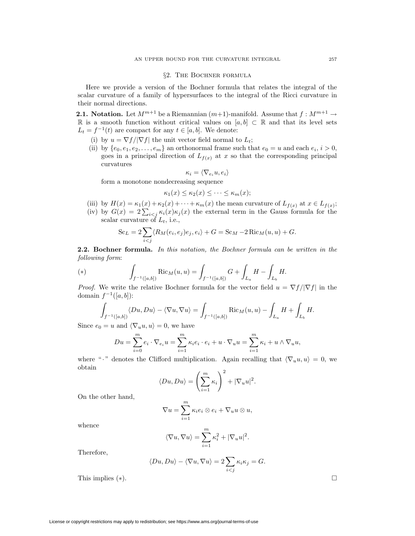## §2. The Bochner formula

Here we provide a version of the Bochner formula that relates the integral of the scalar curvature of a family of hypersurfaces to the integral of the Ricci curvature in their normal directions.

**2.1. Notation.** Let  $M^{m+1}$  be a Riemannian  $(m+1)$ -manifold. Assume that  $f: M^{m+1} \to$ R is a smooth function without critical values on  $[a, b] \subset \mathbb{R}$  and that its level sets  $L_t = f^{-1}(t)$  are compact for any  $t \in [a, b]$ . We denote:

- (i) by  $u = \nabla f / |\nabla f|$  the unit vector field normal to  $L_t$ ;
- (ii) by  $\{e_0, e_1, e_2, \ldots, e_m\}$  an orthonormal frame such that  $e_0 = u$  and each  $e_i, i > 0$ , goes in a principal direction of  $L_{f(x)}$  at x so that the corresponding principal curvatures

$$
\kappa_i = \langle \nabla_{e_i} u, e_i \rangle
$$

form a monotone nondecreasing sequence

$$
\kappa_1(x) \leq \kappa_2(x) \leq \cdots \leq \kappa_m(x);
$$

- (iii) by  $H(x) = \kappa_1(x) + \kappa_2(x) + \cdots + \kappa_m(x)$  the mean curvature of  $L_{f(x)}$  at  $x \in L_{f(x)}$ ;
- form a monotone nondecreasing sequence<br>  $\kappa_1(x) \leq \kappa_2(x) \leq \cdots \leq \kappa_m(x);$ <br>
(iii) by  $H(x) = \kappa_1(x) + \kappa_2(x) + \cdots + \kappa_m(x)$  the mean curvature of  $L_{f(x)}$  at  $x \in L_{f(x)};$ <br>
(iv) by  $G(x) = 2 \sum_{i < j} \kappa_i(x) \kappa_j(x)$  the external term i scalar curvature of  $L_t$ , i.e.,  $(x) = \kappa_1(x)$ <br>  $(x) = 2\sum_{i \in S}$ <br>
curvature c<br>
Sc<sub>L</sub> = 2  $\sum$

$$
Sc_L = 2 \sum_{i < j} \langle R_M(e_i, e_j)e_j, e_i \rangle + G = Sc_M - 2 \operatorname{Ric}_M(u, u) + G.
$$
\ner formula. In this notation, the Bochner formula can be

\n
$$
m:
$$
\n
$$
\int \operatorname{Ric}_M(u, u) = \int G + \int H - \int H.
$$

<span id="page-2-0"></span>**2.2. Bochner formula.** In this notation, the Bochner formula can be written in the following form:

(\*) 
$$
\int_{f^{-1}([a,b])} \text{Ric}_M(u,u) = \int_{f^{-1}([a,b])} G + \int_{L_a} H - \int_{L_b} H.
$$

*Proof.* We write the relative Bochner formula for the vector field  $u = \nabla f / |\nabla f|$  in the domain  $f^{-1}([a, b])$ :

$$
\int_{f^{-1}([a,b])} \langle Du, Du \rangle - \langle \nabla u, \nabla u \rangle = \int_{f^{-1}([a,b])} \text{Ric}_M(u, u) - \int_{L_a} H + \int_{L_b} H.
$$
\n
$$
u = u \text{ and } \langle \nabla_u u, u \rangle = 0, \text{ we have}
$$
\n
$$
Du = \sum_{i=1}^m e_i \cdot \nabla_{e_i} u = \sum_{i=1}^m \kappa_i e_i \cdot e_i + u \cdot \nabla_u u = \sum_{i=1}^m \kappa_i + u \wedge \nabla_u u,
$$

Since  $e_0 = u$  and  $\langle \nabla_u u, u \rangle = 0$ , we have

$$
Du = \sum_{i=0}^{m} e_i \cdot \nabla_{e_i} u = \sum_{i=1}^{m} \kappa_i e_i \cdot e_i + u \cdot \nabla_u u = \sum_{i=1}^{m} \kappa_i + u \wedge \nabla_u u,
$$

where " · " denotes the Clifford multiplication. Again recalling that  $\langle \nabla_u u, u \rangle = 0$ , we obtain  $\alpha$ 

$$
\langle Du, Du \rangle = \left(\sum_{i=1}^{m} \kappa_i\right)^2 + |\nabla_u u|^2.
$$
  

$$
\nabla u = \sum_{i=1}^{m} \kappa_i e_i \otimes e_i + \nabla_u u \otimes u,
$$

On the other hand,

$$
\nabla u = \sum_{i=1}^{m} \kappa_i e_i \otimes e_i + \nabla_u u \otimes u,
$$
  

$$
\langle \nabla u, \nabla u \rangle = \sum_{i=1}^{m} \kappa_i^2 + |\nabla_u u|^2.
$$

whence

$$
u=1
$$
  

$$
\langle \nabla u, \nabla u \rangle = \sum_{i=1}^{m} \kappa_i^2 + |\nabla_u u|^2.
$$
  

$$
\langle Du, Du \rangle - \langle \nabla u, \nabla u \rangle = 2 \sum \kappa_i \kappa_j
$$

Therefore,

$$
\langle Du, Du \rangle - \langle \nabla u, \nabla u \rangle = 2 \sum_{i < j} \kappa_i \kappa_j = G.
$$

This implies  $(*)$ .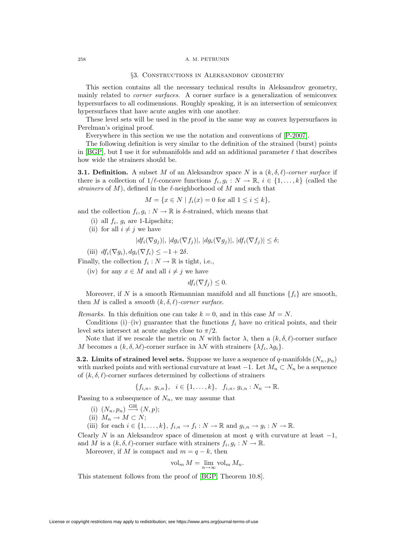#### 258 A. M. PETRUNIN

#### §3. Constructions in Aleksandrov geometry

This section contains all the necessary technical results in Aleksandrov geometry, mainly related to corner surfaces. A corner surface is a generalization of semiconvex hypersurfaces to all codimensions. Roughly speaking, it is an intersection of semiconvex hypersurfaces that have acute angles with one another.

These level sets will be used in the proof in the same way as convex hypersurfaces in Perelman's original proof.

Everywhere in this section we use the notation and conventions of [\[P-2007\]](#page-10-2).

The following definition is very similar to the definition of the strained (burst) points in [\[BGP\]](#page-10-3), but I use it for submanifolds and add an additional parameter  $\ell$  that describes how wide the strainers should be.

**3.1. Definition.** A subset M of an Aleksandrov space N is a  $(k, \delta, \ell)$ -corner surface if there is a collection of  $1/\ell$ -concave functions  $f_i, g_i : N \to \mathbb{R}, i \in \{1, ..., k\}$  (called the strainers of  $M$ ), defined in the  $\ell$ -neighborhood of  $M$  and such that

$$
M = \{ x \in N \mid f_i(x) = 0 \text{ for all } 1 \le i \le k \},
$$

and the collection  $f_i, g_i : N \to \mathbb{R}$  is  $\delta$ -strained, which means that

- (i) all  $f_i$ ,  $g_i$  are 1-Lipschitz;
- (ii) for all  $i \neq j$  we have

$$
|df_i(\nabla g_j)|, |dg_i(\nabla f_j)|, |dg_i(\nabla g_j)|, |df_i(\nabla f_j)| \le \delta;
$$

(iii)  $df_i(\nabla g_i)$ ,  $dg_i(\nabla f_i) \leq -1+2\delta$ .

Finally, the collection  $f_i : N \to \mathbb{R}$  is tight, i.e.,

(iv) for any  $x \in M$  and all  $i \neq j$  we have

$$
df_i(\nabla f_j) \leq 0.
$$

Moreover, if N is a smooth Riemannian manifold and all functions  $\{f_i\}$  are smooth, then M is called a smooth  $(k, \delta, \ell)$ -corner surface.

Remarks. In this definition one can take  $k = 0$ , and in this case  $M = N$ .

Conditions (i)–(iv) guarantee that the functions  $f_i$  have no critical points, and their level sets intersect at acute angles close to  $\pi/2$ .

Note that if we rescale the metric on N with factor  $\lambda$ , then a  $(k, \delta, \ell)$ -corner surface M becomes a  $(k, \delta, \lambda\ell)$ -corner surface in  $\lambda N$  with strainers  $\{\lambda f_i, \lambda g_i\}.$ 

<span id="page-3-0"></span>**3.2. Limits of strained level sets.** Suppose we have a sequence of  $q$ -manifolds  $(N_n, p_n)$ with marked points and with sectional curvature at least  $-1$ . Let  $M_n \subset N_n$  be a sequence of  $(k, \delta, \ell)$ -corner surfaces determined by collections of strainers

$$
\{f_{i,n}, g_{i,n}\}, i \in \{1, \ldots, k\}, f_{i,n}, g_{i,n} : N_n \to \mathbb{R}.
$$

Passing to a subsequence of  $N_n$ , we may assume that

- (i)  $(N_n, p_n) \xrightarrow{\text{GH}} (N, p);$
- (ii)  $M_n \to M \subset N;$

(iii) for each  $i \in \{1, ..., k\}$ ,  $f_{i,n} \to f_i : N \to \mathbb{R}$  and  $g_{i,n} \to g_i : N \to \mathbb{R}$ .

Clearly N is an Aleksandrov space of dimension at most q with curvature at least  $-1$ , and M is a  $(k, \delta, \ell)$ -corner surface with strainers  $f_i, g_i : N \to \mathbb{R}$ .

Moreover, if M is compact and  $m = q - k$ , then

$$
\text{vol}_m M = \lim_{n \to \infty} \text{vol}_m M_n.
$$

<span id="page-3-1"></span>This statement follows from the proof of [\[BGP,](#page-10-3) Theorem 10.8].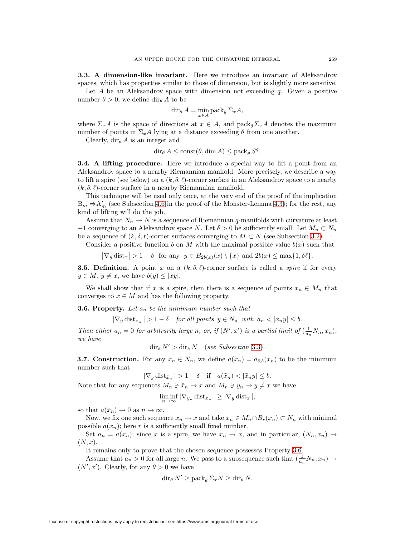**3.3. A dimension-like invariant.** Here we introduce an invariant of Aleksandrov spaces, which has properties similar to those of dimension, but is slightly more sensitive.

Let A be an Aleksandrov space with dimension not exceeding  $q$ . Given a positive number  $\theta > 0$ , we define dir<sub> $\theta$ </sub> A to be

$$
\operatorname{dir}_{\theta} A = \min_{x \in A} \operatorname{pack}_{\theta} \Sigma_x A,
$$

where  $\Sigma_x A$  is the space of directions at  $x \in A$ , and pack<sub> $\theta$ </sub>  $\Sigma_x A$  denotes the maximum number of points in  $\Sigma_x A$  lying at a distance exceeding  $\theta$  from one another.

Clearly, dir $_{\theta}$  A is an integer and

 $\text{dir}_{\theta} A \leq \text{const}(\theta, \text{dim} A) \leq \text{pack}_{\theta} S^{q}.$ 

<span id="page-4-3"></span>**3.4. A lifting procedure.** Here we introduce a special way to lift a point from an Aleksandrov space to a nearby Riemannian manifold. More precisely, we describe a way to lift a spire (see below) on a  $(k, \delta, \ell)$ -corner surface in an Aleksandrov space to a nearby  $(k, \delta, \ell)$ -corner surface in a nearby Riemannian manifold.

This technique will be used only once, at the very end of the proof of the implication  $B_m \Rightarrow A'_m$  (see Subsection [4.6](#page-8-0) in the proof of the Monster-Lemma [4.3\)](#page-5-0); for the rest, any kind of lifting will do the job.

Assume that  $N_n \to N$  is a sequence of Riemannian q-manifolds with curvature at least  $-1$  converging to an Aleksandrov space N. Let  $\delta > 0$  be sufficiently small. Let  $M_n \subset N_n$ be a sequence of  $(k, \delta, \ell)$ -corner surfaces converging to  $M \subset N$  (see Subsection [3.2\)](#page-3-0).

Consider a positive function b on M with the maximal possible value  $b(x)$  such that

 $\left|\nabla_y \text{dist}_x\right| > 1 - \delta$  for any  $y \in B_{2b(x)}(x) \setminus \{x\}$  and  $2b(x) \le \max\{1, \delta\ell\}.$ 

<span id="page-4-1"></span>**3.5. Definition.** A point x on a  $(k, \delta, \ell)$ -corner surface is called a *spire* if for every  $y \in M$ ,  $y \neq x$ , we have  $b(y) \leq |xy|$ .

<span id="page-4-0"></span>We shall show that if x is a spire, then there is a sequence of points  $x_n \in M_n$  that converges to  $x \in M$  and has the following property.

**3.6. Property.** Let  $a_n$  be the minimum number such that

 $|\nabla_y \text{dist}_{x_n}| > 1 - \delta$  for all points  $y \in N_n$  with  $a_n < |x_n y| \leq b$ .

Then either  $a_n = 0$  for arbitrarily large n, or, if  $(N', x')$  is a partial limit of  $(\frac{1}{a_n}N_n, x_n)$ , we have

 $\operatorname{dir}_{\delta} N' > \operatorname{dir}_{\delta} N$  (see Subsection [3.3\)](#page-3-1).

<span id="page-4-2"></span>**3.7. Construction.** For any  $\tilde{x}_n \in N_n$ , we define  $a(\tilde{x}_n) = a_{\delta,b}(\tilde{x}_n)$  to be the minimum number such that

 $|\nabla_y \text{dist}_{\tilde{x}_n}| > 1 - \delta$  if  $a(\tilde{x}_n) < |\tilde{x}_n y| \leq b$ .

Note that for any sequences  $M_n \ni \bar{x}_n \to x$  and  $M_n \ni y_n \to y \neq x$  we have

$$
\liminf_{n \to \infty} |\nabla_{y_n} \operatorname{dist}_{\bar{x}_n}| \geq |\nabla_y \operatorname{dist}_x|,
$$

so that  $a(\bar{x}_n) \to 0$  as  $n \to \infty$ .

Now, we fix one such sequence  $\bar{x}_n \to x$  and take  $x_n \in M_n \cap B_r(\bar{x}_n) \subset N_n$  with minimal possible  $a(x_n)$ ; here r is a sufficiently small fixed number.

Set  $a_n = a(x_n)$ ; since x is a spire, we have  $x_n \to x$ , and in particular,  $(N_n, x_n) \to$  $(N, x)$ .

It remains only to prove that the chosen sequence possesses Property [3.6.](#page-4-0)

Assume that  $a_n > 0$  for all large n. We pass to a subsequence such that  $\left(\frac{1}{a_n}N_n, x_n\right) \to$  $(N', x')$ . Clearly, for any  $\theta > 0$  we have

$$
\operatorname{dir}_{\theta} N' \ge \operatorname{pack}_{\theta} \Sigma_x N \ge \operatorname{dir}_{\theta} N.
$$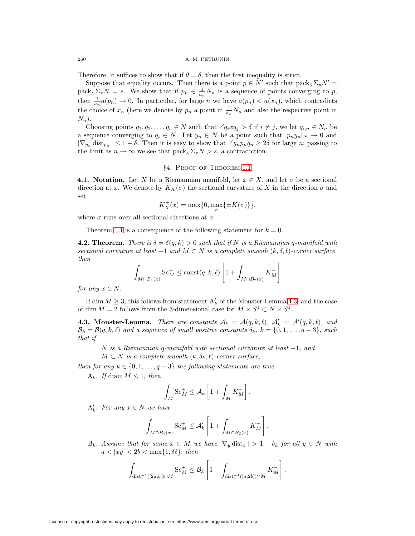Therefore, it suffices to show that if  $\theta = \delta$ , then the first inequality is strict.

Suppose that equality occurs. Then there is a point  $p \in N'$  such that  $\text{pack}_{\delta} \Sigma_p N' =$ pack<sub>δ</sub>  $\Sigma_x N = s$ . We show that if  $p_n \in \frac{1}{a_n} N_n$  is a sequence of points converging to p, then  $\frac{1}{a_n}a(p_n) \to 0$ . In particular, for large *n* we have  $a(p_n) < a(x_n)$ , which contradicts the choice of  $x_n$  (here we denote by  $p_n$  a point in  $\frac{1}{a_n}N_n$  and also the respective point in  $N_n$ ).

Choosing points  $q_1, q_2, \ldots, q_s \in N$  such that  $\angle q_i x q_j > \delta$  if  $i \neq j$ , we let  $q_{i,n} \in N_n$  be a sequence converging to  $q_i \in N$ . Let  $y_n \in N$  be a point such that  $|p_n y_n|_N \to 0$  and  $|\nabla_{y_n}$  dist<sub>pn</sub>  $|\leq 1-\delta$ . Then it is easy to show that  $\angle y_n p_n q_n \geq 2\delta$  for large n; passing to the limit as  $n \to \infty$  we see that  $\text{pack}_{\delta} \Sigma_x N > s$ , a contradiction.

#### §4. Proof of Theorem [1.1](#page-0-1)

**4.1. Notation.** Let X be a Riemannian manifold, let  $x \in X$ , and let  $\sigma$  be a sectional direction at x. We denote by  $K_X(\sigma)$  the sectional curvature of X in the direction  $\sigma$  and set

$$
K_X^{\pm}(x) = \max\{0, \max_{\sigma}\{\pm K(\sigma)\}\},\
$$

where  $\sigma$  runs over all sectional directions at x.

Theorem [1.1](#page-0-1) is a consequence of the following statement for  $k = 0$ .<br>
2. **Theorem.** There is  $\delta = \delta(q, k) > 0$  such that if N is a Riemannia<br>
tional curvature at least  $-1$  and  $M \subset N$  is a complete smooth  $(k, \delta, n)$ <br>  $\delta \propto_M^+$ **4.2. Theorem.** There is  $\delta = \delta(q, k) > 0$  such that if N is a Riemannian q-manifold with sectional curvature at least  $-1$  and  $M \subset N$  is a complete smooth  $(k, \delta, \ell)$ -corner surface, then

$$
\int_{M \cap B_1(x)} \operatorname{Sc}_M^+ \le \operatorname{const}(q, k, \ell) \left[ 1 + \int_{M \cap B_2(x)} K_M^- \right]
$$

for any  $x \in N$ .

<span id="page-5-0"></span>If dim  $M \geq 3$ , this follows from statement  $A'_k$  of the Monster-Lemma [4.3,](#page-5-0) and the case of dim  $M = 2$  follows from the 3-dimensional case for  $M \times S^1 \subset N \times S^1$ .

**4.3. Monster-Lemma.** There are constants  $A_k = A(q, k, \ell)$ ,  $A'_k = A'(q, k, \ell)$ , and  $\mathcal{B}_k = \mathcal{B}(q, k, \ell)$  and a sequence of small positive constants  $\delta_k$ ,  $k = \{0, 1, \ldots, q-3\}$ , such that if

N is a Riemannian q-manifold with sectional curvature at least −1, and

 $M \subset N$  is a complete smooth  $(k, \delta_k, \ell)$ -corner surface,

then for any  $k \in \{0, 1, \ldots, q-3\}$  the following statements are true.

A<sub>k</sub>. If diam  $M \leq 1$ , then

$$
\begin{aligned}\n&\text{-manifold with sectional curv}\\
&\text{smooth } (k, \delta_k, \ell)\text{-corner surface} \\
-3\} \text{ the following statements} \\ \int_M \text{Sc}_M^+ &\leq \mathcal{A}_k \left[1 + \int_M K_M^- \right]. \\ \text{we} \\ \text{Sc}_M^+ &\leq \mathcal{A}_k' \left[1 + \int_M K_M^- \right].\n\end{aligned}
$$

 $A'_k$ . For any  $x \in N$  we have

$$
\int_{M \cap B_1(x)} \operatorname{Sc}_M^+ \leq \mathcal{A}'_k \left[ 1 + \int_{M \cap B_2(x)} K_M^- \right].
$$

 $B_k$ . Assume that for some  $x \in M$  we have  $|\nabla_y \text{dist}_x| > 1 - \delta_k$  for all  $y \in N$  with  $a < |xy| < 2b < \max\{1, \delta\ell\};$  then  $\frac{1}{1 + \int}$ <br>uve  $|\nabla$ 

$$
\int_{\text{dist}_x^{-1}([2a,b])\cap M} \text{Sc}_M^+ \leq \mathcal{B}_k \left[ 1 + \int_{\text{dist}_x^{-1}([a,2b])\cap M} K_M^- \right].
$$

License or copyright restrictions may apply to redistribution; see https://www.ams.org/journal-terms-of-use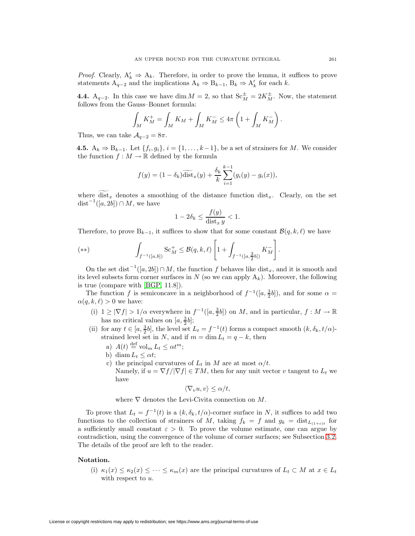*Proof.* Clearly,  $A'_k \Rightarrow A_k$ . Therefore, in order to prove the lemma, it suffices to prove statements  $A_{q-2}$  and the implications  $A_k \Rightarrow B_{k-1}, B_k \Rightarrow A'_k$  for each k.

**4.4.** A<sub>q−2</sub>. In this case we have dim  $M = 2$ , so that  $Sc_M^{\pm} = 2K_M^{\pm}$ . Now, the statement follows from the Gauss–Bonnet formula: e the<br>  $\Rightarrow$  A'<sub>k</sub><br>  $c_M^{\pm}$  =<br>  $1 +$ 

$$
\int_M K_M^+ = \int_M K_M + \int_M K_M^- \leq 4\pi \left( 1 + \int_M K_M^- \right).
$$

Thus, we can take  $A_{q-2} = 8\pi$ .

**4.5.**  $A_k$  ⇒  $B_{k-1}$ . Let  $\{f_i, g_i\}$ ,  $i = \{1, \ldots, k-1\}$ , be a set of strainers for M. We consider the function  $f : M \to \mathbb{R}$  defined by the formula  $f(q-2) = 8\pi$ .<br>  $f(f_i, g_i)$ ,  $i = \{1, ..., k-1\}$ ,<br>  $\rightarrow \mathbb{R}$  defined by the formula<br>  $f(y) = (1 - \delta_k) \widetilde{\text{dist}}_x(y) + \frac{\delta_k}{L_k}$ 

$$
f(y) = (1 - \delta_k) \widetilde{\text{dist}}_x(y) + \frac{\delta_k}{k} \sum_{i=1}^{k-1} (g_i(y) - g_i(x)),
$$

where dist<sub>x</sub> denotes a smoothing of the distance function dist<sub>x</sub>. Clearly, on the set  $dist^{-1}([a, 2b]) \cap M$ , we have

$$
1 - 2\delta_k \le \frac{f(y)}{\text{dist}_x y} < 1.
$$
\nices to show that for so

\n
$$
f_{\mathcal{A}} \le \mathcal{B}(q, k, \ell) \left[1 + \int_{\mathcal{A}}^{R} f(y) \, dy \right]
$$

Therefore, to prove  $B_{k-1}$ , it suffices to show that for some constant  $\mathcal{B}(q, k, \ell)$  we have

<span id="page-6-0"></span>(\*\*) 
$$
\int_{f^{-1}([a,b])} Sc_M^+ \leq \mathcal{B}(q,k,\ell) \left[1 + \int_{f^{-1}([a,\frac{3}{2}b])} K_M^-\right].
$$

On the set dist<sup>-1</sup>([a, 2b]) ∩ M, the function f behaves like dist<sub>x</sub>, and it is smooth and its level subsets form corner surfaces in N (so we can apply  $A_k$ ). Moreover, the following is true (compare with [\[BGP,](#page-10-3) 11.8]).

The function f is semiconcave in a neighborhood of  $f^{-1}([a, \frac{3}{2}b])$ , and for some  $\alpha =$  $\alpha(q, k, \ell) > 0$  we have:

- (i)  $1 \ge |\nabla f| > 1/\alpha$  everywhere in  $f^{-1}([a, \frac{3}{2}b])$  on M, and in particular,  $f : M \to \mathbb{R}$ has no critical values on  $[a, \frac{3}{2}b]$ ;
- (ii) for any  $t \in [a, \frac{3}{2}b]$ , the level set  $L_t = f^{-1}(t)$  forms a compact smooth  $(k, \delta_k, t/\alpha)$ strained level set in N, and if  $m = \dim L_t = q - k$ , then
	- a)  $A(t) \stackrel{\text{def}}{=} \text{vol}_m L_t \leq \alpha t^m;$
	- b) diam  $L_t \leq \alpha t$ ;
	- c) the principal curvatures of  $L_t$  in M are at most  $\alpha/t$ . Namely, if  $u = \nabla f / |\nabla f| \in TM$ , then for any unit vector v tangent to  $L_t$  we have

$$
\langle \nabla_v u, v \rangle \le \alpha/t,
$$

where  $\nabla$  denotes the Levi-Civita connection on M.

To prove that  $L_t = f^{-1}(t)$  is a  $(k, \delta_k, t/\alpha)$ -corner surface in N, it suffices to add two functions to the collection of strainers of M, taking  $f_k = f$  and  $g_k = \text{dist}_{L_{(1+\varepsilon)t}}$  for a sufficiently small constant  $\varepsilon > 0$ . To prove the volume estimate, one can argue by contradiction, using the convergence of the volume of corner surfaces; see Subsection [3.2.](#page-3-0) The details of the proof are left to the reader.

### **Notation.**

(i)  $\kappa_1(x) \leq \kappa_2(x) \leq \cdots \leq \kappa_m(x)$  are the principal curvatures of  $L_t \subset M$  at  $x \in L_t$ with respect to  $u$ .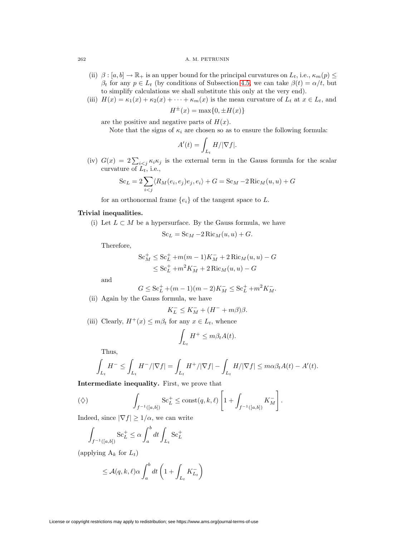#### 262 A. M. PETRUNIN

- (ii)  $\beta : [a, b] \to \mathbb{R}_+$  is an upper bound for the principal curvatures on  $L_t$ , i.e.,  $\kappa_m(p) \leq$  $\beta_t$  for any  $p \in L_t$  (by conditions of Subsection [4.5,](#page-6-0) we can take  $\beta(t) = \alpha/t$ , but to simplify calculations we shall substitute this only at the very end).
- (iii)  $H(x) = \kappa_1(x) + \kappa_2(x) + \cdots + \kappa_m(x)$  is the mean curvature of  $L_t$  at  $x \in L_t$ , and

 $H^{\pm}(x) = \max\{0, \pm H(x)\}\$ 

are the positive and negative parts of  $H(x)$ .

Note that the signs of  $\kappa_i$  are chosen so as to ensure the following formula:

$$
\therefore + \kappa_m(x) \text{ is the me}
$$
  
\n
$$
{}^{\pm}(x) = \max\{0, \pm H(x)
$$
  
\n
$$
{}^{\pm}(x) = \max\{0, \pm H(x)
$$
  
\n
$$
\kappa_i \text{ are chosen so as } t
$$
  
\n
$$
A'(t) = \int_{L_t} H/|\nabla f|.
$$

are the positive and negative parts of  $H(x)$ .<br>Note that the signs of  $\kappa_i$  are chosen so as to ensure the following formula:<br> $A'(t) = \int_{L_t} H/|\nabla f|$ .<br>(iv)  $G(x) = 2 \sum_{i < j} \kappa_i \kappa_j$  is the external term in the Gauss formula curvature of  $L_t$ , i.e., =  $2\sum_{i < j} \kappa$ <br>ure of  $L_t$ , i.<br>Sc<sub>L</sub> =  $2\sum$ 

$$
Sc_L = 2\sum_{i < j} \langle R_M(e_i, e_j)e_j, e_i \rangle + G = Sc_M - 2\operatorname{Ric}_M(u, u) + G
$$

for an orthonormal frame  ${e_i}$  of the tangent space to L.

# **Trivial inequalities.**

(i) Let  $L \subset M$  be a hypersurface. By the Gauss formula, we have

$$
Sc_L = Sc_M - 2Ric_M(u, u) + G.
$$

Therefore,

$$
Sc_M^+ \le Sc_L^+ + m(m-1)K_M^- + 2Ric_M(u, u) - G
$$
  

$$
\le Sc_L^+ + m^2K_M^- + 2Ric_M(u, u) - G
$$

and

$$
G \le \mathrm{Sc}_{L}^+ + (m-1)(m-2)K_M^- \le \mathrm{Sc}_{L}^+ + m^2 K_M^-.
$$

(ii) Again by the Gauss formula, we have

$$
K^-_L\leq K^-_M+(H^-+m\beta)\beta.
$$

(iii) Clearly,  $H^+(x) \leq m\beta_t$  for any  $x \in L_t$ , whence

any 
$$
x \in L_t
$$
, whence  
\n
$$
\int_{L_t} H^+ \leq m\beta_t A(t).
$$
\n
$$
\int H^+ / |\nabla f| - \int H
$$

Thus,

$$
\int_{L_t} H^- \le \int_{L_t} H^-/|\nabla f| = \int_{L_t} H^+/|\nabla f| - \int_{L_t} H/|\nabla f| \le m\alpha \beta_t A(t) - A'(t).
$$
  
mediate inequality. First, we prove that  

$$
\int \qquad \text{Sc}_L^+ \le \text{const}(q, k, \ell) \left[1 + \int \qquad K_M^- \right].
$$

**Intermediate inequality.** First, we prove that

$$
(\diamondsuit) \qquad \qquad \int_{f^{-1}([a,b])} \operatorname{Sc}_{L}^{+} \leq \operatorname{const}(q,k,\ell) \left[1 + \int_{f^{-1}([a,b])} K_M^{-}\right].
$$
  
Indeed, since  $|\nabla f| \geq 1/\alpha$ , we can write  

$$
\int \qquad \operatorname{Sc}_{L}^{+} \leq \alpha \int_{a}^{b} dt \int \operatorname{Sc}_{L}^{+}
$$

Indeed, since  $|\nabla f| \geq 1/\alpha$ , we can write

$$
\int_{f^{-1}([a,b])} \operatorname{Sc}_{L}^{+} \leq \alpha \int_{a}^{b} dt \int_{L_{t}} \operatorname{Sc}_{L}^{+}
$$
\n
$$
\text{oplying A}_{k} \text{ for } L_{t})
$$
\n
$$
\leq \mathcal{A}(q, k, \ell) \alpha \int_{a}^{b} dt \left(1 + \int_{a}^{b} dt \right)
$$

(applying  $A_k$  for  $L_t$ )

$$
\leq \mathcal{A}(q,k,\ell) \alpha \int_{a}^{b} dt \left(1 + \int_{L_{t}} K_{L_{t}}^{-}\right)
$$

License or copyright restrictions may apply to redistribution; see https://www.ams.org/journal-terms-of-use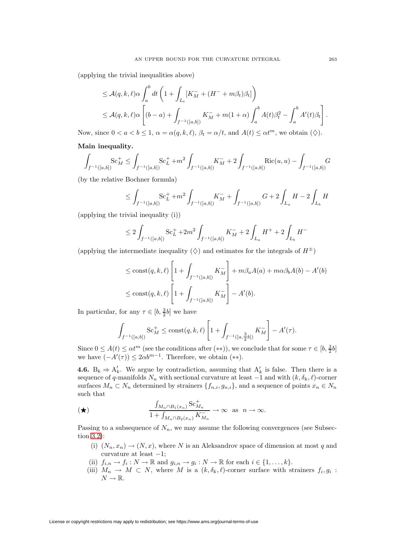(applying the trivial inequalities above)

AN UPPER BOUND FOR THE CURVATURE INTEGRAL  
\n
$$
\leq A(q, k, \ell)\alpha \int_a^b dt \left(1 + \int_{L_t} [K_M^- + (H^- + m\beta_t)\beta_t]\right)
$$
\n
$$
\leq A(q, k, \ell)\alpha \left[ (b - a) + \int_{f^{-1}([a, b])} K_M^- + m(1 + \alpha) \int_a^b A(t)\beta_t^2 - \int_a^b A'(t)\beta_t \right]
$$
\n
$$
\text{since } 0 < a < b \leq 1, \ \alpha = \alpha(q, k, \ell), \ \beta_t = \alpha/t, \ \text{and} \ A(t) \leq \alpha t^m, \ \text{we obtain } (\diamondsuit).
$$
\n
$$
\text{Sequality.}
$$
\n
$$
\text{Sc}_M^+ \leq \int_{\Omega} \text{K}^+ \cdot \text{Sc}_M^+ + \alpha \int_{\Omega} \text{K}^+ \cdot \text{R}^+ \cdot \text{R}^+ \cdot \text{R}^+ \cdot \text{R}^+ \cdot \text{R}^+ \cdot \text{R}^+ \cdot \text{R}^+ \cdot \text{R}^+ \cdot \text{R}^+ \cdot \text{R}^+ \cdot \text{R}^+ \cdot \text{R}^+ \cdot \text{R}^+ \cdot \text{R}^+ \cdot \text{R}^+ \cdot \text{R}^+ \cdot \text{R}^+ \cdot \text{R}^+ \cdot \text{R}^+ \cdot \text{R}^+ \cdot \text{R}^+ \cdot \text{R}^+ \cdot \text{R}^+ \cdot \text{R}^+ \cdot \text{R}^+ \cdot \text{R}^+ \cdot \text{R}^+ \cdot \text{R}^+ \cdot \text{R}^+ \cdot \text{R}^+ \cdot \text{R}^+ \cdot \text{R}^+ \cdot \text{R}^+ \cdot \text{R}^+ \cdot \text{R}^+ \cdot \text{R}^+ \cdot \text{R}^+ \cdot \text{R}^+ \cdot \text{R}^+ \cdot \text{R}^+ \cdot \text{R}^+ \cdot \text{R}^+ \cdot \text{R}^+ \cdot \text{R}^+ \cdot \text{R}^+ \cdot \text{R}^+ \cdot \text{R}^+ \cdot \text{R}^+ \cdot \text{R}^+ \cdot \text{R}^+ \cdot \text{R}^+ \cdot
$$

Now, since  $0 < a < b \le 1$ ,  $\alpha = \alpha(q, k, \ell)$ ,  $\beta_t = \alpha/t$ , and  $A(t) \le \alpha t^m$ , we obtain  $(\diamondsuit)$ .

## **Main inequality.**

$$
\int_{f^{-1}([a,b])} Sc_M^+ \le \int_{f^{-1}([a,b])} Sc_L^+ + m^2 \int_{f^{-1}([a,b])} K_M^- + 2 \int_{f^{-1}([a,b])} Ric(u,u) - \int_{f^{-1}([a,b])} G
$$
\nby the relative Bochner formula)\n
$$
\le \int \qquad Sc_L^+ + m^2 \int \qquad K_M^- + \int \qquad G + 2 \int H - 2 \int H
$$

(by the relative Bochner formula)

$$
\leq \int_{f^{-1}([a,b])} Sc_L^+ + m^2 \int_{f^{-1}([a,b])} K_M^- + \int_{f^{-1}([a,b])} G + 2 \int_{L_a} H - 2 \int_{L_b} H
$$
  
ivial inequality (i))  

$$
\leq 2 \int_{L_b} Sc_L^+ + 2m^2 \int_{L_b} K_M^- + 2 \int_{L_a} H^+ + 2 \int_{L_a} H^-
$$

(applying the trivial inequality (i))

$$
\leq 2 \int_{f^{-1}([a,b])} \mathrm{Sc}_{L}^{+} + 2m^{2} \int_{f^{-1}([a,b])} K_{M}^{-} + 2 \int_{L_{a}} H^{+} + 2 \int_{L_{b}} H^{-}
$$
  
termediate inequality  $(\diamondsuit)$  and estimates for the integrals of  $H$   
 $\leq \mathrm{const}(q, k, \ell) \left[1 + \int K_{M}^{-} + m \beta_{a} A(a) + m \alpha \beta_{b} A(b) - \int_{a}^{L} H^{+}(a+b) \right]$ 

(applying the intermediate inequality  $(\diamondsuit)$  and estimates for the integrals of  $H^{\pm}$ )

termediate inequality 
$$
(\diamondsuit)
$$
 and estimates for the integrals of  $H^{\pm}$ )  
\n $\leq \text{const}(q, k, \ell) \left[ 1 + \int_{f^{-1}([a, b])} K_M^{-1} \right] + m\beta_a A(a) + m\alpha \beta_b A(b) - A'(b)$   
\n $\leq \text{const}(q, k, \ell) \left[ 1 + \int_{f^{-1}([a, b])} K_M^{-1} \right] - A'(b).$   
\nr any  $\tau \in [b, \frac{3}{2}b]$  we have  
\n
$$
S_c_M^{\perp} \leq \text{const}(q, k, \ell) \left[ 1 + \int_{a}^{\infty} K_M^{-1} \right] - A'(\tau).
$$

In particular, for any  $\tau \in [b, \frac{3}{2}b]$  we have

$$
\int_{f^{-1}([a,b])} \mathrm{Sc}_M^+ \leq \mathrm{const}(q,k,\ell) \left[ 1 + \int_{f^{-1}([a,\frac{3}{2}b])} K_M^- \right] - A'(\tau).
$$

Since  $0 \leq A(t) \leq \alpha t^m$  (see the conditions after (\*\*)), we conclude that for some  $\tau \in [b, \frac{3}{2}b]$ we have  $(-A'(\tau)) \leq 2\alpha b^{m-1}$ . Therefore, we obtain  $(**)$ .

<span id="page-8-0"></span>**4.6.** B<sub>k</sub>  $\Rightarrow$  A<sub>k</sub><sup>'</sup>. We argue by contradiction, assuming that A<sub>k</sub><sup>'</sup> is false. Then there is a sequence of q-manifolds  $N_n$  with sectional curvature at least  $-\hat{1}$  and with  $(k, \delta_k, \ell)$ -corner<br>surfaces  $M_n \subset N_n$  determined by strainers  $\{f_{n,i}, g_{n,i}\}$ , and a sequence of points  $x_n \in N_n$ <br>such that<br> $\frac{\int_{M_n \cap B_1(x_n)} Sc_{$ surfaces  $M_n \subset N_n$  determined by strainers  $\{f_{n,i}, g_{n,i}\}\$ , and a sequence of points  $x_n \in N_n$ such that -

$$
\frac{\int_{M_n \cap B_1(x_n)} \mathrm{Sc}_{M_n}^+}{1 + \int_{M_n \cap B_2(x_n)} K_{M_n}^-} \to \infty \text{ as } n \to \infty.
$$

Passing to a subsequence of  $N_n$ , we may assume the following convergences (see Subsection [3.2\)](#page-3-0):

- (i)  $(N_n, x_n) \to (N, x)$ , where N is an Aleksandrov space of dimension at most q and curvature at least  $-1$ ;
- (ii)  $f_{i,n} \to f_i : N \to \mathbb{R}$  and  $g_{i,n} \to g_i : N \to \mathbb{R}$  for each  $i \in \{1, \ldots, k\}.$
- (iii)  $M_n \to M \subset N$ , where M is a  $(k, \delta_k, \ell)$ -corner surface with strainers  $f_i, g_i$ :  $N \to \mathbb{R}$ .

.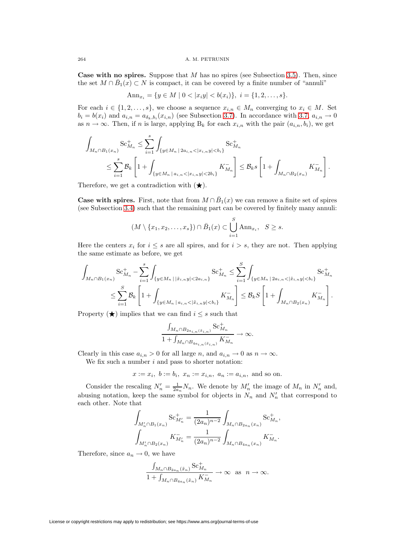**Case with no spires.** Suppose that M has no spires (see Subsection [3.5\)](#page-4-1). Then, since the set  $M \cap B_1(x) \subset N$  is compact, it can be covered by a finite number of "annuli"

$$
Ann_{x_i} = \{ y \in M \mid 0 < |x_i y| < b(x_i) \}, \ i = \{ 1, 2, \dots, s \}.
$$

For each  $i \in \{1, 2, ..., s\}$ , we choose a sequence  $x_{i,n} \in M_n$  converging to  $x_i \in M$ . Set<br>  $b_i = b(x_i)$  and  $a_{i,n} = a_{\delta_k, b_i}(x_{i,n})$  (see Subsection 3.7). In accordance with 3.7,  $a_{i,n} \to 0$ <br>
as  $n \to \infty$ . Then, if *n* is large, a  $b_i = b(x_i)$  and  $a_{i,n} = a_{\delta_k, b_i}(x_{i,n})$  (see Subsection [3.7\)](#page-4-2). In accordance with [3.7,](#page-4-2)  $a_{i,n} \to 0$ 

as 
$$
n \to \infty
$$
. Then, if *n* is large, applying  $B_k$  for each  $x_{i,n}$  with the pair  $(a_{i,n}, b_i)$ , we get\n
$$
\int_{M_n \cap B_1(x_n)} \text{Sc}_{M_n}^+ \leq \sum_{i=1}^s \int_{\{y \in M_n \mid 2a_{i,n} < |x_{i,n}y| < b_i\}} \text{Sc}_{M_n}^+
$$
\n
$$
\leq \sum_{i=1}^s \mathcal{B}_k \left[1 + \int_{\{y \in M_n \mid a_{i,n} < |x_{i,n}y| < 2b_i\}} K_{M_n}^- \right] \leq \mathcal{B}_k s \left[1 + \int_{M_n \cap B_2(x_n)} K_{M_n}^- \right].
$$

Therefore, we get a contradiction with  $(\bigstar)$ .

**Case with spires.** First, note that from  $M \cap \overline{B}_1(x)$  we can remove a finite set of spires (see Subsection [3.4\)](#page-4-3) such that the remaining part can be covered by finitely many annuli: a contradiction with  $(\star)$ .<br>
5. First, note that from  $M \cap \bar{B}_1(x)$  v<br>
4) such that the remaining part can b<br>  $(M \setminus \{x_1, x_2, ..., x_s\}) \cap \bar{B}_1(x) \subset \bigcup^S$ 

$$
(M\setminus\{x_1,x_2,\ldots,x_s\})\cap\bar{B}_1(x)\subset\bigcup_{i=1}^S\mathrm{Ann}_{x_i},\ \ S\geq s.
$$

Here the centers  $x_i$  for  $i \leq s$  are all spires, and for  $i > s$ , they are not. Then applying  $\frac{1}{2}$  or  $\frac{1}{2}$  or  $\frac{1}{2}$  on  $\frac{1}{2}$  on  $\frac{1}{2}$  on  $\frac{1}{2}$  or  $\frac{1}{2}$  or  $\frac{1}{2}$  or  $\frac{1}{2}$  or  $\frac{1}{2}$  or  $\frac{1}{2}$  or  $\frac{1}{2}$  or  $\frac{1}{2}$  or  $\frac{1}{2}$  or  $\frac{1}{2}$  or  $\frac{1}{2}$  or  $\frac{1}{2}$  or

Here the centers 
$$
x_i
$$
 for  $i \leq s$  are all spires, and for  $i > s$ , they are not. Then applying the same estimate as before, we get\n
$$
\int_{M_n \cap B_1(x_n)} \mathbf{Sc}_{M_n}^+ - \sum_{i=1}^s \int_{\{y \in M_n \mid |\tilde{x}_{i,n}y| < 2a_{i,n}\}} \mathbf{Sc}_{M_n}^+ \leq \sum_{i=1}^S \int_{\{y \in M_n \mid 2a_{i,n} < |\tilde{x}_{i,n}y| < b_i\}} \mathbf{Sc}_{M_n}^+ \leq \sum_{i=1}^S \mathcal{B}_k \left[1 + \int_{\{y \in M_n \mid a_{i,n} < |\tilde{x}_{i,n}y| < b_i\}} K_{M_n}^- \right] \leq \mathcal{B}_k S \left[1 + \int_{M_n \cap B_2(x_n)} K_{M_n}^- \right].
$$

Property  $(\bigstar)$  implies that we can find  $i \leq s$  such that

$$
\mathbb{E}[M_n | a_{i,n} < |\tilde{x}_{i,n}y| < b_i] \leq \mathcal{D}_k
$$
\n
$$
\text{We can find } i \leq s \text{ such that}
$$
\n
$$
\frac{\int_{M_n \cap B_{2a_{i,n}}(\tilde{x}_{i,n})} \mathcal{S}c_{M_n}^+}{1 + \int_{M_n \cap B_{4a_{i,n}}(\tilde{x}_{i,n})} K_{M_n}^-} \to \infty.
$$

Clearly in this case  $a_{i,n} > 0$  for all large n, and  $a_{i,n} \to 0$  as  $n \to \infty$ .

 $\overline{a}$ 

We fix such a number  $i$  and pass to shorter notation:

$$
x := x_i
$$
,  $b := b_i$ ,  $x_n := x_{i,n}$ ,  $a_n := a_{i,n}$ , and so on.

Consider the rescaling  $N'_n = \frac{1}{2a_n} N_n$ . We denote by  $M'_n$  the image of  $M_n$  in  $N'_n$  and, abusing notation, keep the same symbol for objects in  $N_n$  and  $N'_n$  that correspond to each other. Note that

$$
\int_{M'_n \cap B_1(x_n)} \mathrm{Sc}_{M'_n}^+ = \frac{1}{(2a_n)^{n-2}} \int_{M_n \cap B_{2a_n}(x_n)} \mathrm{Sc}_{M_n}^+,
$$

$$
\int_{M'_n \cap B_2(x_n)} K_{M'_n}^- = \frac{1}{(2a_n)^{n-2}} \int_{M_n \cap B_{4a_n}(x_n)} K_{M_n}^-.
$$

Therefore, since  $a_n \to 0$ , we have

$$
K_{M'_n}^- = \frac{1}{(2a_n)^{n-2}} \int_{M_n \cap B_{4a_n}(x_n)} K'_1
$$
  
0, we have  

$$
\frac{\int_{M_n \cap B_{2a_n}(\tilde{x}_n)} Sc_{M_n}^+}{1 + \int_{M_n \cap B_{4a_n}(\tilde{x}_n)} K_{M_n}^-} \to \infty \text{ as } n \to \infty.
$$